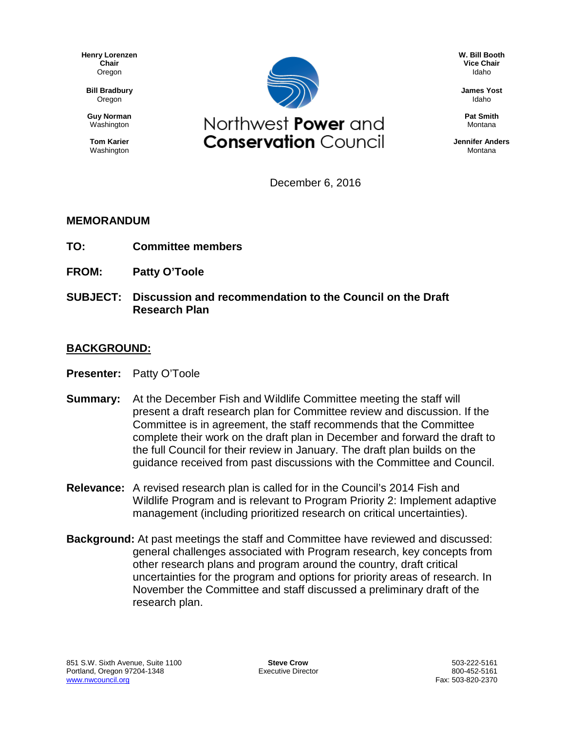**Henry Lorenzen Chair** Oregon

**Bill Bradbury** Oregon

**Guy Norman** Washington

**Tom Karier** Washington



**W. Bill Booth Vice Chair** Idaho

**James Yost** Idaho

**Pat Smith** Montana

**Jennifer Anders** Montana

December 6, 2016

### **MEMORANDUM**

- **TO: Committee members**
- **FROM: Patty O'Toole**
- **SUBJECT: Discussion and recommendation to the Council on the Draft Research Plan**

### **BACKGROUND:**

- **Presenter:** Patty O'Toole
- **Summary:** At the December Fish and Wildlife Committee meeting the staff will present a draft research plan for Committee review and discussion. If the Committee is in agreement, the staff recommends that the Committee complete their work on the draft plan in December and forward the draft to the full Council for their review in January. The draft plan builds on the guidance received from past discussions with the Committee and Council.
- **Relevance:** A revised research plan is called for in the Council's 2014 Fish and Wildlife Program and is relevant to Program Priority 2: Implement adaptive management (including prioritized research on critical uncertainties).
- **Background:** At past meetings the staff and Committee have reviewed and discussed: general challenges associated with Program research, key concepts from other research plans and program around the country, draft critical uncertainties for the program and options for priority areas of research. In November the Committee and staff discussed a preliminary draft of the research plan.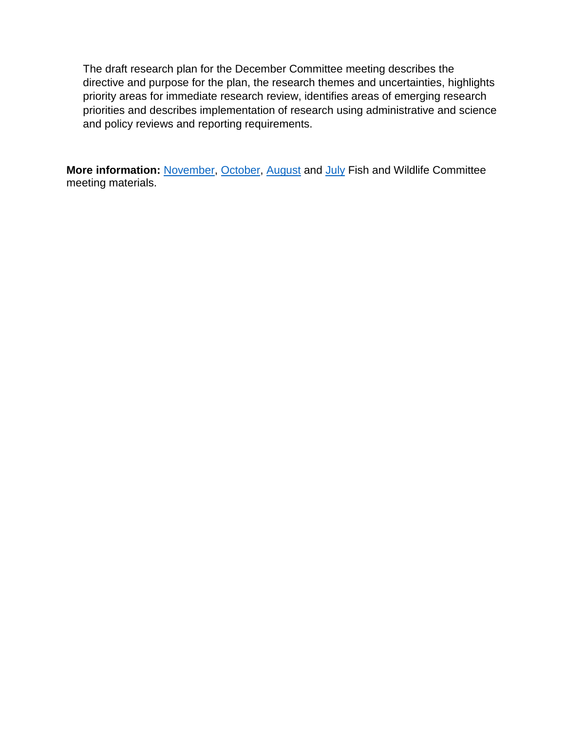The draft research plan for the December Committee meeting describes the directive and purpose for the plan, the research themes and uncertainties, highlights priority areas for immediate research review, identifies areas of emerging research priorities and describes implementation of research using administrative and science and policy reviews and reporting requirements.

**More information:** [November,](https://www.nwcouncil.org/media/7150680/f5.pdf) [October,](https://www.nwcouncil.org/media/7150615/f3.pdf) [August](https://www.nwcouncil.org/media/7150470/6.pdf) and [July](https://www.nwcouncil.org/media/7150401/5.pdf) Fish and Wildlife Committee meeting materials.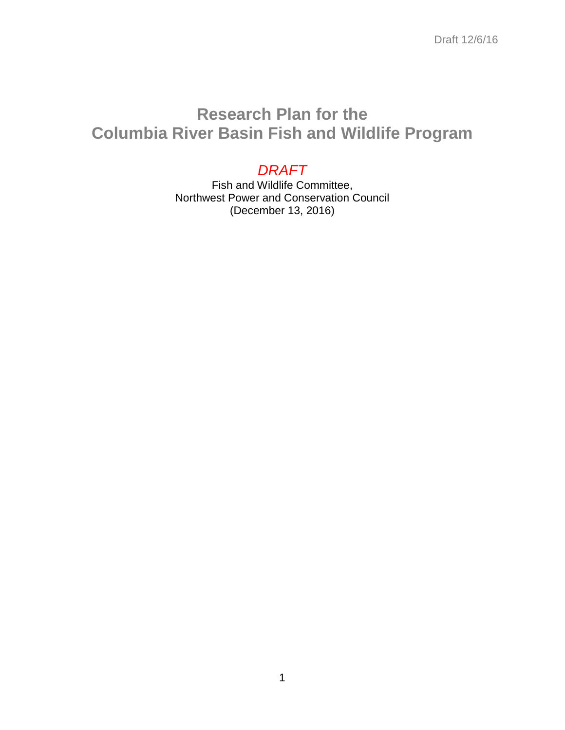# **Research Plan for the Columbia River Basin Fish and Wildlife Program**

# *DRAFT*

Fish and Wildlife Committee, Northwest Power and Conservation Council (December 13, 2016)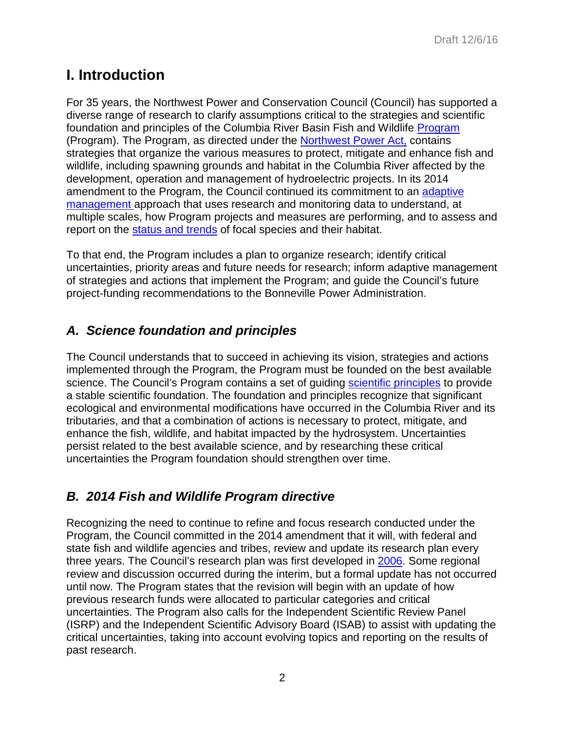# **I. Introduction**

For 35 years, the Northwest Power and Conservation Council (Council) has supported a diverse range of research to clarify assumptions critical to the strategies and scientific foundation and principles of the Columbia River Basin Fish and Wildlife [Program](https://www.nwcouncil.org/media/7148624/2014-12.pdf) (Program). The Program, as directed under the [Northwest Power Act,](https://www.nwcouncil.org/reports/poweract/) contains strategies that organize the various measures to protect, mitigate and enhance fish and wildlife, including spawning grounds and habitat in the Columbia River affected by the development, operation and management of hydroelectric projects. In its 2014 amendment to the Program, the Council continued its commitment to an [adaptive](https://www.nwcouncil.org/fw/program/2014-12/program/partfour_adaptive_management/)  [management](https://www.nwcouncil.org/fw/program/2014-12/program/partfour_adaptive_management/) approach that uses research and monitoring data to understand, at multiple scales, how Program projects and measures are performing, and to assess and report on the status [and trends](http://rs.nwcouncil.org/) of focal species and their habitat.

To that end, the Program includes a plan to organize research; identify critical uncertainties, priority areas and future needs for research; inform adaptive management of strategies and actions that implement the Program; and guide the Council's future project-funding recommendations to the Bonneville Power Administration.

# *A. Science foundation and principles*

The Council understands that to succeed in achieving its vision, strategies and actions implemented through the Program, the Program must be founded on the best available science. The Council's Program contains a set of guiding [scientific principles](https://www.nwcouncil.org/fw/program/2014-12/program/partthree_vision_foundation_goals_objectives_strategies/ii_foundation_and_principles/) to provide a stable scientific foundation. The foundation and principles recognize that significant ecological and environmental modifications have occurred in the Columbia River and its tributaries, and that a combination of actions is necessary to protect, mitigate, and enhance the fish, wildlife, and habitat impacted by the hydrosystem. Uncertainties persist related to the best available science, and by researching these critical uncertainties the Program foundation should strengthen over time.

# *B. 2014 Fish and Wildlife Program directive*

Recognizing the need to continue to refine and focus research conducted under the Program, the Council committed in the 2014 amendment that it will, with federal and state fish and wildlife agencies and tribes, review and update its research plan every three years. The Council's research plan was first developed in [2006.](https://www.nwcouncil.org/media/29261/2006_3.pdf) Some regional review and discussion occurred during the interim, but a formal update has not occurred until now. The Program states that the revision will begin with an update of how previous research funds were allocated to particular categories and critical uncertainties. The Program also calls for the Independent Scientific Review Panel (ISRP) and the Independent Scientific Advisory Board (ISAB) to assist with updating the critical uncertainties, taking into account evolving topics and reporting on the results of past research.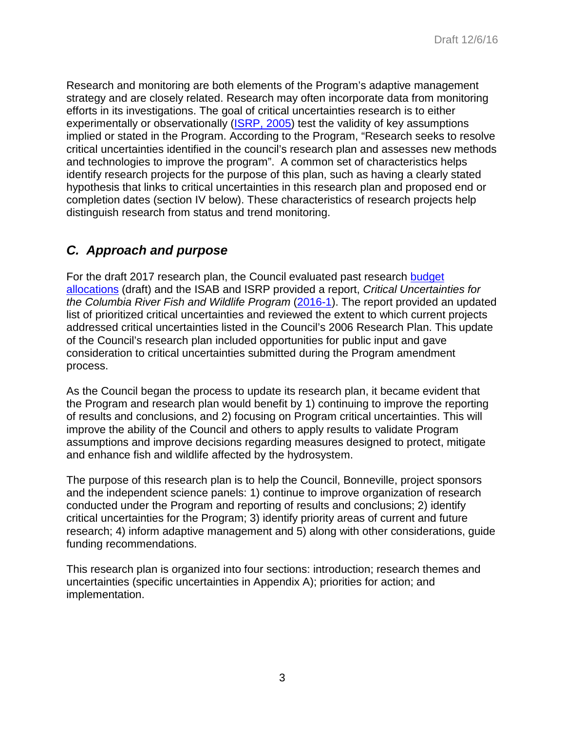Research and monitoring are both elements of the Program's adaptive management strategy and are closely related. Research may often incorporate data from monitoring efforts in its investigations. The goal of critical uncertainties research is to either experimentally or observationally [\(ISRP, 2005\)](http://www.nwcouncil.org/media/32756/isrp2005_14a.pdf) test the validity of key assumptions implied or stated in the Program. According to the Program, "Research seeks to resolve critical uncertainties identified in the council's research plan and assesses new methods and technologies to improve the program". A common set of characteristics helps identify research projects for the purpose of this plan, such as having a clearly stated hypothesis that links to critical uncertainties in this research plan and proposed end or completion dates (section IV below). These characteristics of research projects help distinguish research from status and trend monitoring.

## *C. Approach and purpose*

For the draft 2017 research plan, the Council evaluated past research [budget](https://nwcouncil.box.com/s/yow3vrc61smu5741tfnoe5hfoppl9svp) [allocations](https://nwcouncil.box.com/s/yow3vrc61smu5741tfnoe5hfoppl9svp) (draft) and the ISAB and ISRP provided a report, *Critical Uncertainties for the Columbia River Fish and Wildlife Program* [\(2016-1\)](https://www.nwcouncil.org/fw/isab/isabisrp2016-1/). The report provided an updated list of prioritized critical uncertainties and reviewed the extent to which current projects addressed critical uncertainties listed in the Council's 2006 Research Plan. This update of the Council's research plan included opportunities for public input and gave consideration to critical uncertainties submitted during the Program amendment process.

As the Council began the process to update its research plan, it became evident that the Program and research plan would benefit by 1) continuing to improve the reporting of results and conclusions, and 2) focusing on Program critical uncertainties. This will improve the ability of the Council and others to apply results to validate Program assumptions and improve decisions regarding measures designed to protect, mitigate and enhance fish and wildlife affected by the hydrosystem.

The purpose of this research plan is to help the Council, Bonneville, project sponsors and the independent science panels: 1) continue to improve organization of research conducted under the Program and reporting of results and conclusions; 2) identify critical uncertainties for the Program; 3) identify priority areas of current and future research; 4) inform adaptive management and 5) along with other considerations, guide funding recommendations.

This research plan is organized into four sections: introduction; research themes and uncertainties (specific uncertainties in Appendix A); priorities for action; and implementation.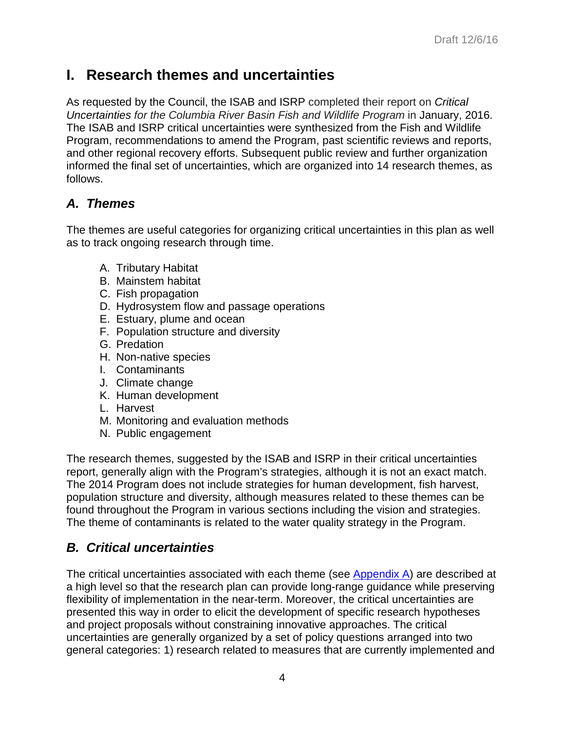# **I. Research themes and uncertainties**

As requested by the Council, the ISAB and ISRP completed their report on *Critical Uncertainties for the Columbia River Basin Fish and Wildlife Program* in January, 2016. The ISAB and ISRP critical uncertainties were synthesized from the Fish and Wildlife Program, recommendations to amend the Program, past scientific reviews and reports, and other regional recovery efforts. Subsequent public review and further organization informed the final set of uncertainties, which are organized into 14 research themes, as follows.

## *A. Themes*

The themes are useful categories for organizing critical uncertainties in this plan as well as to track ongoing research through time.

- A. Tributary Habitat
- B. Mainstem habitat
- C. Fish propagation
- D. Hydrosystem flow and passage operations
- E. Estuary, plume and ocean
- F. Population structure and diversity
- G. Predation
- H. Non-native species
- I. Contaminants
- J. Climate change
- K. Human development
- L. Harvest
- M. Monitoring and evaluation methods
- N. Public engagement

The research themes, suggested by the ISAB and ISRP in their critical uncertainties report, generally align with the Program's strategies, although it is not an exact match. The 2014 Program does not include strategies for human development, fish harvest, population structure and diversity, although measures related to these themes can be found throughout the Program in various sections including the vision and strategies. The theme of contaminants is related to the water quality strategy in the Program.

# *B. Critical uncertainties*

The critical uncertainties associated with each theme (see [Appendix A\)](#page-13-0) are described at a high level so that the research plan can provide long-range guidance while preserving flexibility of implementation in the near-term. Moreover, the critical uncertainties are presented this way in order to elicit the development of specific research hypotheses and project proposals without constraining innovative approaches. The critical uncertainties are generally organized by a set of policy questions arranged into two general categories: 1) research related to measures that are currently implemented and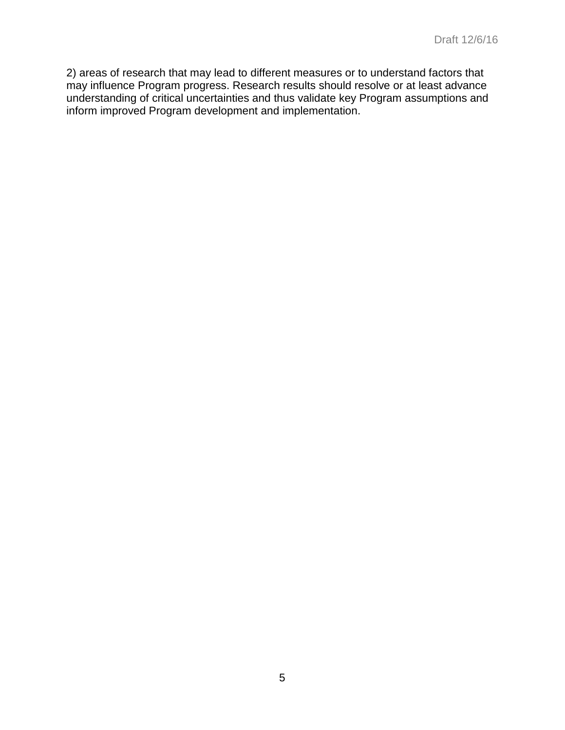2) areas of research that may lead to different measures or to understand factors that may influence Program progress. Research results should resolve or at least advance understanding of critical uncertainties and thus validate key Program assumptions and inform improved Program development and implementation.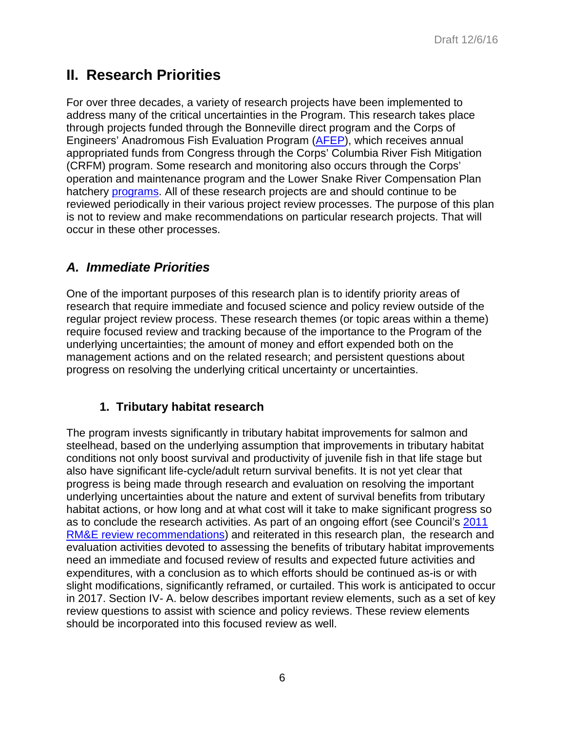# **II. Research Priorities**

For over three decades, a variety of research projects have been implemented to address many of the critical uncertainties in the Program. This research takes place through projects funded through the Bonneville direct program and the Corps of Engineers' Anadromous Fish Evaluation Program [\(AFEP\)](http://www.nwd.usace.army.mil/Media/Fact-Sheets/Fact-Sheet-Article-View/Article/475828/anadromous-fish-evaluation-program/), which receives annual appropriated funds from Congress through the Corps' Columbia River Fish Mitigation (CRFM) program. Some research and monitoring also occurs through the Corps' operation and maintenance program and the Lower Snake River Compensation Plan hatchery [programs.](https://www.fws.gov/lsnakecomplan/) All of these research projects are and should continue to be reviewed periodically in their various project review processes. The purpose of this plan is not to review and make recommendations on particular research projects. That will occur in these other processes.

## *A. Immediate Priorities*

One of the important purposes of this research plan is to identify priority areas of research that require immediate and focused science and policy review outside of the regular project review process. These research themes (or topic areas within a theme) require focused review and tracking because of the importance to the Program of the underlying uncertainties; the amount of money and effort expended both on the management actions and on the related research; and persistent questions about progress on resolving the underlying critical uncertainty or uncertainties.

### **1. Tributary habitat research**

The program invests significantly in tributary habitat improvements for salmon and steelhead, based on the underlying assumption that improvements in tributary habitat conditions not only boost survival and productivity of juvenile fish in that life stage but also have significant life-cycle/adult return survival benefits. It is not yet clear that progress is being made through research and evaluation on resolving the important underlying uncertainties about the nature and extent of survival benefits from tributary habitat actions, or how long and at what cost will it take to make significant progress so as to conclude the research activities. As part of an ongoing effort (see Council's [2011](https://www.nwcouncil.org/media/13599/2011_06decision.pdf)  [RM&E review recommendations\)](https://www.nwcouncil.org/media/13599/2011_06decision.pdf) and reiterated in this research plan, the research and evaluation activities devoted to assessing the benefits of tributary habitat improvements need an immediate and focused review of results and expected future activities and expenditures, with a conclusion as to which efforts should be continued as-is or with slight modifications, significantly reframed, or curtailed. This work is anticipated to occur in 2017. Section IV- A. below describes important review elements, such as a set of key review questions to assist with science and policy reviews. These review elements should be incorporated into this focused review as well.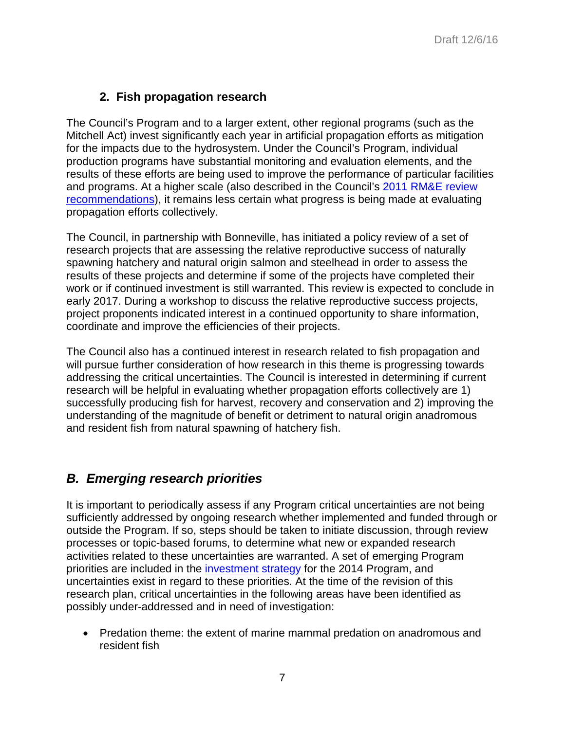### **2. Fish propagation research**

The Council's Program and to a larger extent, other regional programs (such as the Mitchell Act) invest significantly each year in artificial propagation efforts as mitigation for the impacts due to the hydrosystem. Under the Council's Program, individual production programs have substantial monitoring and evaluation elements, and the results of these efforts are being used to improve the performance of particular facilities and programs. At a higher scale (also described in the Council's [2011 RM&E review](https://www.nwcouncil.org/media/13599/2011_06decision.pdf)  [recommendations\)](https://www.nwcouncil.org/media/13599/2011_06decision.pdf), it remains less certain what progress is being made at evaluating propagation efforts collectively.

The Council, in partnership with Bonneville, has initiated a policy review of a set of research projects that are assessing the relative reproductive success of naturally spawning hatchery and natural origin salmon and steelhead in order to assess the results of these projects and determine if some of the projects have completed their work or if continued investment is still warranted. This review is expected to conclude in early 2017. During a workshop to discuss the relative reproductive success projects, project proponents indicated interest in a continued opportunity to share information, coordinate and improve the efficiencies of their projects.

The Council also has a continued interest in research related to fish propagation and will pursue further consideration of how research in this theme is progressing towards addressing the critical uncertainties. The Council is interested in determining if current research will be helpful in evaluating whether propagation efforts collectively are 1) successfully producing fish for harvest, recovery and conservation and 2) improving the understanding of the magnitude of benefit or detriment to natural origin anadromous and resident fish from natural spawning of hatchery fish.

## *B. Emerging research priorities*

It is important to periodically assess if any Program critical uncertainties are not being sufficiently addressed by ongoing research whether implemented and funded through or outside the Program. If so, steps should be taken to initiate discussion, through review processes or topic-based forums, to determine what new or expanded research activities related to these uncertainties are warranted. A set of emerging Program priorities are included in the [investment strategy](https://www.nwcouncil.org/fw/program/2014-12/program/partsix_implementation/ii_investment_strategy/) for the 2014 Program, and uncertainties exist in regard to these priorities. At the time of the revision of this research plan, critical uncertainties in the following areas have been identified as possibly under-addressed and in need of investigation:

• Predation theme: the extent of marine mammal predation on anadromous and resident fish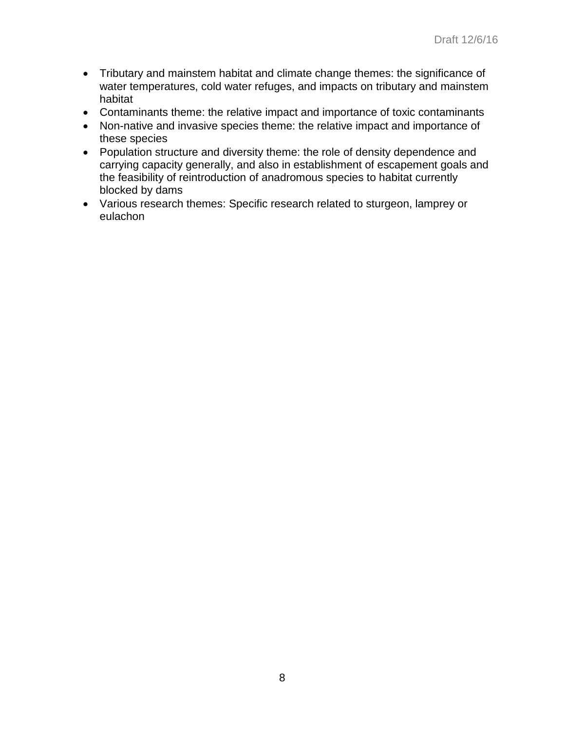- Tributary and mainstem habitat and climate change themes: the significance of water temperatures, cold water refuges, and impacts on tributary and mainstem habitat
- Contaminants theme: the relative impact and importance of toxic contaminants
- Non-native and invasive species theme: the relative impact and importance of these species
- Population structure and diversity theme: the role of density dependence and carrying capacity generally, and also in establishment of escapement goals and the feasibility of reintroduction of anadromous species to habitat currently blocked by dams
- Various research themes: Specific research related to sturgeon, lamprey or eulachon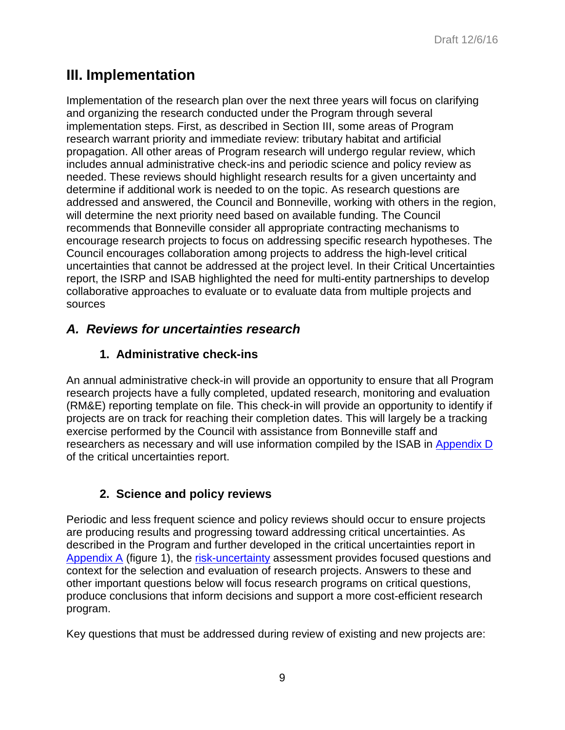# **III. Implementation**

Implementation of the research plan over the next three years will focus on clarifying and organizing the research conducted under the Program through several implementation steps. First, as described in Section III, some areas of Program research warrant priority and immediate review: tributary habitat and artificial propagation. All other areas of Program research will undergo regular review, which includes annual administrative check-ins and periodic science and policy review as needed. These reviews should highlight research results for a given uncertainty and determine if additional work is needed to on the topic. As research questions are addressed and answered, the Council and Bonneville, working with others in the region, will determine the next priority need based on available funding. The Council recommends that Bonneville consider all appropriate contracting mechanisms to encourage research projects to focus on addressing specific research hypotheses. The Council encourages collaboration among projects to address the high-level critical uncertainties that cannot be addressed at the project level. In their Critical Uncertainties report, the ISRP and ISAB highlighted the need for multi-entity partnerships to develop collaborative approaches to evaluate or to evaluate data from multiple projects and sources

## *A. Reviews for uncertainties research*

### **1. Administrative check-ins**

An annual administrative check-in will provide an opportunity to ensure that all Program research projects have a fully completed, updated research, monitoring and evaluation (RM&E) reporting template on file. This check-in will provide an opportunity to identify if projects are on track for reaching their completion dates. This will largely be a tracking exercise performed by the Council with assistance from Bonneville staff and researchers as necessary and will use information compiled by the ISAB in [Appendix D](https://www.nwcouncil.org/media/7149871/isabisrp2016-1appendixd.pdf) of the critical uncertainties report.

## **2. Science and policy reviews**

Periodic and less frequent science and policy reviews should occur to ensure projects are producing results and progressing toward addressing critical uncertainties. As described in the Program and further developed in the critical uncertainties report in [Appendix A](http://www.nwcouncil.org/media/7149870/isabisrp2016-1.pdf#page=151) (figure 1), the [risk-uncertainty](https://www.nwcouncil.org/fw/program/2014-12/program/partfour_adaptive_management/#rum) assessment provides focused questions and context for the selection and evaluation of research projects. Answers to these and other important questions below will focus research programs on critical questions, produce conclusions that inform decisions and support a more cost-efficient research program.

Key questions that must be addressed during review of existing and new projects are: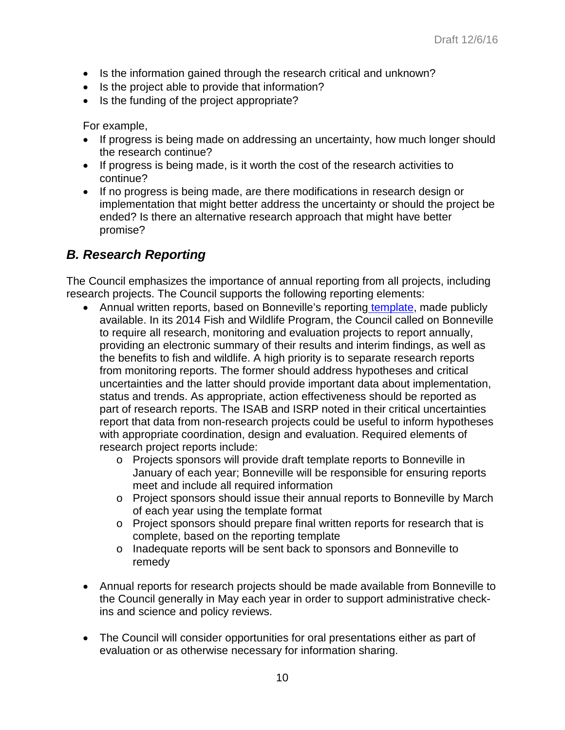- Is the information gained through the research critical and unknown?
- Is the project able to provide that information?
- Is the funding of the project appropriate?

For example,

- If progress is being made on addressing an uncertainty, how much longer should the research continue?
- If progress is being made, is it worth the cost of the research activities to continue?
- If no progress is being made, are there modifications in research design or implementation that might better address the uncertainty or should the project be ended? Is there an alternative research approach that might have better promise?

## *B. Research Reporting*

The Council emphasizes the importance of annual reporting from all projects, including research projects. The Council supports the following reporting elements:

- Annual written reports, based on Bonneville's reporting [template,](https://nwcouncil.box.com/s/qoswpbd93o4rkskdk1lbngb1135f3whl) made publicly available. In its 2014 Fish and Wildlife Program, the Council called on Bonneville to require all research, monitoring and evaluation projects to report annually, providing an electronic summary of their results and interim findings, as well as the benefits to fish and wildlife. A high priority is to separate research reports from monitoring reports. The former should address hypotheses and critical uncertainties and the latter should provide important data about implementation, status and trends. As appropriate, action effectiveness should be reported as part of research reports. The ISAB and ISRP noted in their critical uncertainties report that data from non-research projects could be useful to inform hypotheses with appropriate coordination, design and evaluation. Required elements of research project reports include:
	- o Projects sponsors will provide draft template reports to Bonneville in January of each year; Bonneville will be responsible for ensuring reports meet and include all required information
	- o Project sponsors should issue their annual reports to Bonneville by March of each year using the template format
	- o Project sponsors should prepare final written reports for research that is complete, based on the reporting template
	- o Inadequate reports will be sent back to sponsors and Bonneville to remedy
- Annual reports for research projects should be made available from Bonneville to the Council generally in May each year in order to support administrative checkins and science and policy reviews.
- The Council will consider opportunities for oral presentations either as part of evaluation or as otherwise necessary for information sharing.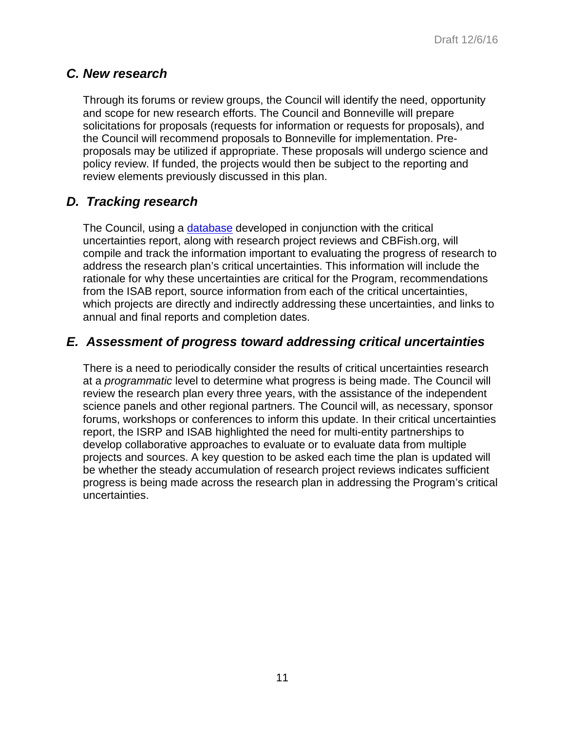### *C. New research*

Through its forums or review groups, the Council will identify the need, opportunity and scope for new research efforts. The Council and Bonneville will prepare solicitations for proposals (requests for information or requests for proposals), and the Council will recommend proposals to Bonneville for implementation. Preproposals may be utilized if appropriate. These proposals will undergo science and policy review. If funded, the projects would then be subject to the reporting and review elements previously discussed in this plan.

### *D. Tracking research*

The Council, using a [database](http://research.nwcouncil.org/) developed in conjunction with the critical uncertainties report, along with research project reviews and CBFish.org, will compile and track the information important to evaluating the progress of research to address the research plan's critical uncertainties. This information will include the rationale for why these uncertainties are critical for the Program, recommendations from the ISAB report, source information from each of the critical uncertainties, which projects are directly and indirectly addressing these uncertainties, and links to annual and final reports and completion dates.

### *E. Assessment of progress toward addressing critical uncertainties*

There is a need to periodically consider the results of critical uncertainties research at a *programmatic* level to determine what progress is being made. The Council will review the research plan every three years, with the assistance of the independent science panels and other regional partners. The Council will, as necessary, sponsor forums, workshops or conferences to inform this update. In their critical uncertainties report, the ISRP and ISAB highlighted the need for multi-entity partnerships to develop collaborative approaches to evaluate or to evaluate data from multiple projects and sources. A key question to be asked each time the plan is updated will be whether the steady accumulation of research project reviews indicates sufficient progress is being made across the research plan in addressing the Program's critical uncertainties.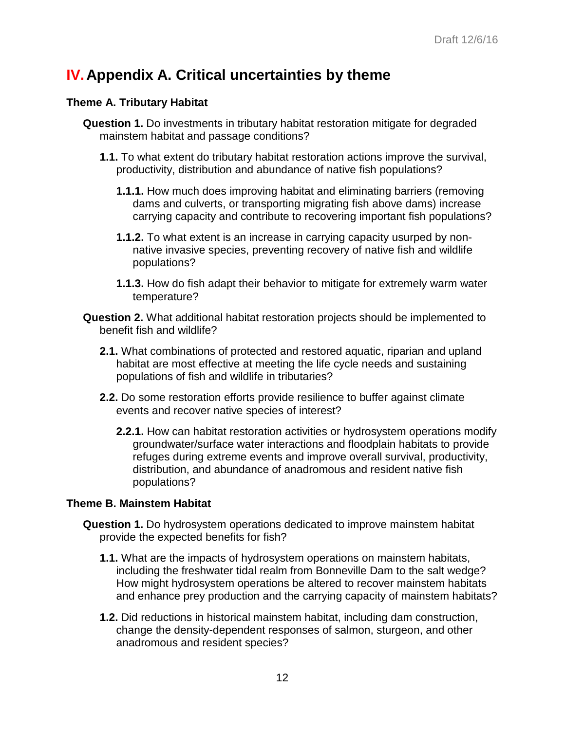# <span id="page-13-0"></span>**IV.Appendix A. Critical uncertainties by theme**

### **Theme A. Tributary Habitat**

- **Question 1.** Do investments in tributary habitat restoration mitigate for degraded mainstem habitat and passage conditions?
	- **1.1.** To what extent do tributary habitat restoration actions improve the survival, productivity, distribution and abundance of native fish populations?
		- **1.1.1.** How much does improving habitat and eliminating barriers (removing dams and culverts, or transporting migrating fish above dams) increase carrying capacity and contribute to recovering important fish populations?
		- **1.1.2.** To what extent is an increase in carrying capacity usurped by nonnative invasive species, preventing recovery of native fish and wildlife populations?
		- **1.1.3.** How do fish adapt their behavior to mitigate for extremely warm water temperature?
- **Question 2.** What additional habitat restoration projects should be implemented to benefit fish and wildlife?
	- **2.1.** What combinations of protected and restored aquatic, riparian and upland habitat are most effective at meeting the life cycle needs and sustaining populations of fish and wildlife in tributaries?
	- **2.2.** Do some restoration efforts provide resilience to buffer against climate events and recover native species of interest?
		- **2.2.1.** How can habitat restoration activities or hydrosystem operations modify groundwater/surface water interactions and floodplain habitats to provide refuges during extreme events and improve overall survival, productivity, distribution, and abundance of anadromous and resident native fish populations?

### **Theme B. Mainstem Habitat**

- **Question 1.** Do hydrosystem operations dedicated to improve mainstem habitat provide the expected benefits for fish?
	- **1.1.** What are the impacts of hydrosystem operations on mainstem habitats, including the freshwater tidal realm from Bonneville Dam to the salt wedge? How might hydrosystem operations be altered to recover mainstem habitats and enhance prey production and the carrying capacity of mainstem habitats?
	- **1.2.** Did reductions in historical mainstem habitat, including dam construction, change the density-dependent responses of salmon, sturgeon, and other anadromous and resident species?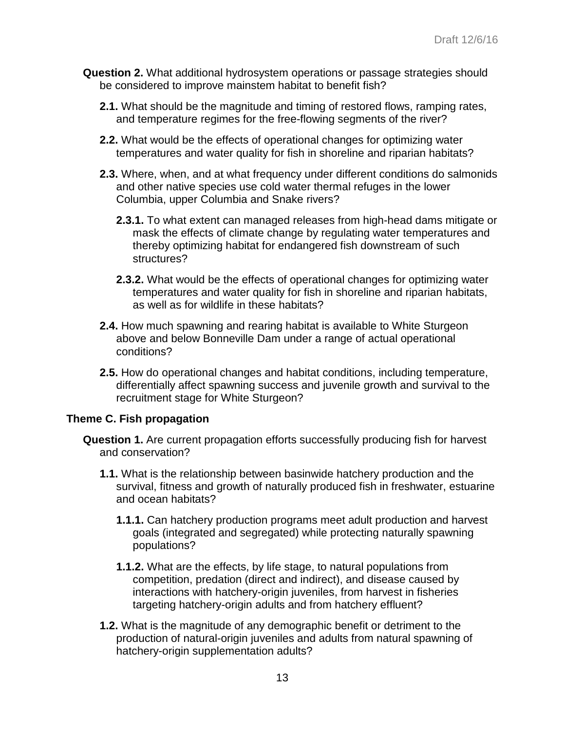- **Question 2.** What additional hydrosystem operations or passage strategies should be considered to improve mainstem habitat to benefit fish?
	- **2.1.** What should be the magnitude and timing of restored flows, ramping rates, and temperature regimes for the free-flowing segments of the river?
	- **2.2.** What would be the effects of operational changes for optimizing water temperatures and water quality for fish in shoreline and riparian habitats?
	- **2.3.** Where, when, and at what frequency under different conditions do salmonids and other native species use cold water thermal refuges in the lower Columbia, upper Columbia and Snake rivers?
		- **2.3.1.** To what extent can managed releases from high-head dams mitigate or mask the effects of climate change by regulating water temperatures and thereby optimizing habitat for endangered fish downstream of such structures?
		- **2.3.2.** What would be the effects of operational changes for optimizing water temperatures and water quality for fish in shoreline and riparian habitats, as well as for wildlife in these habitats?
	- **2.4.** How much spawning and rearing habitat is available to White Sturgeon above and below Bonneville Dam under a range of actual operational conditions?
	- **2.5.** How do operational changes and habitat conditions, including temperature, differentially affect spawning success and juvenile growth and survival to the recruitment stage for White Sturgeon?

### **Theme C. Fish propagation**

- **Question 1.** Are current propagation efforts successfully producing fish for harvest and conservation?
	- **1.1.** What is the relationship between basinwide hatchery production and the survival, fitness and growth of naturally produced fish in freshwater, estuarine and ocean habitats?
		- **1.1.1.** Can hatchery production programs meet adult production and harvest goals (integrated and segregated) while protecting naturally spawning populations?
		- **1.1.2.** What are the effects, by life stage, to natural populations from competition, predation (direct and indirect), and disease caused by interactions with hatchery-origin juveniles, from harvest in fisheries targeting hatchery-origin adults and from hatchery effluent?
	- **1.2.** What is the magnitude of any demographic benefit or detriment to the production of natural-origin juveniles and adults from natural spawning of hatchery-origin supplementation adults?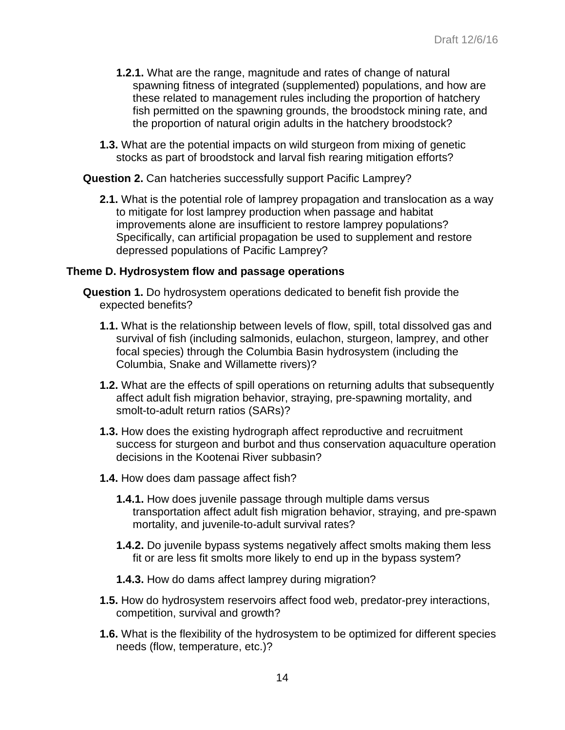- **1.2.1.** What are the range, magnitude and rates of change of natural spawning fitness of integrated (supplemented) populations, and how are these related to management rules including the proportion of hatchery fish permitted on the spawning grounds, the broodstock mining rate, and the proportion of natural origin adults in the hatchery broodstock?
- **1.3.** What are the potential impacts on wild sturgeon from mixing of genetic stocks as part of broodstock and larval fish rearing mitigation efforts?

**Question 2.** Can hatcheries successfully support Pacific Lamprey?

**2.1.** What is the potential role of lamprey propagation and translocation as a way to mitigate for lost lamprey production when passage and habitat improvements alone are insufficient to restore lamprey populations? Specifically, can artificial propagation be used to supplement and restore depressed populations of Pacific Lamprey?

#### **Theme D. Hydrosystem flow and passage operations**

- **Question 1.** Do hydrosystem operations dedicated to benefit fish provide the expected benefits?
	- **1.1.** What is the relationship between levels of flow, spill, total dissolved gas and survival of fish (including salmonids, eulachon, sturgeon, lamprey, and other focal species) through the Columbia Basin hydrosystem (including the Columbia, Snake and Willamette rivers)?
	- **1.2.** What are the effects of spill operations on returning adults that subsequently affect adult fish migration behavior, straying, pre-spawning mortality, and smolt-to-adult return ratios (SARs)?
	- **1.3.** How does the existing hydrograph affect reproductive and recruitment success for sturgeon and burbot and thus conservation aquaculture operation decisions in the Kootenai River subbasin?
	- **1.4.** How does dam passage affect fish?
		- **1.4.1.** How does juvenile passage through multiple dams versus transportation affect adult fish migration behavior, straying, and pre-spawn mortality, and juvenile-to-adult survival rates?
		- **1.4.2.** Do juvenile bypass systems negatively affect smolts making them less fit or are less fit smolts more likely to end up in the bypass system?
		- **1.4.3.** How do dams affect lamprey during migration?
	- **1.5.** How do hydrosystem reservoirs affect food web, predator-prey interactions, competition, survival and growth?
	- **1.6.** What is the flexibility of the hydrosystem to be optimized for different species needs (flow, temperature, etc.)?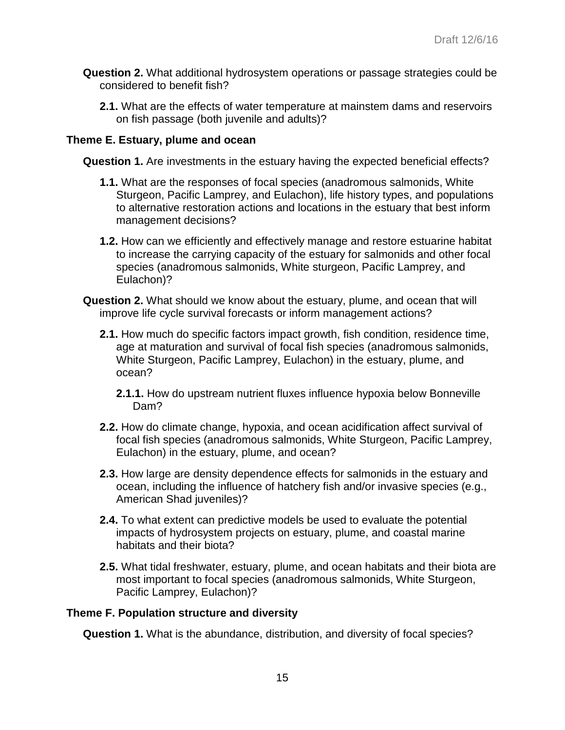- **Question 2.** What additional hydrosystem operations or passage strategies could be considered to benefit fish?
	- **2.1.** What are the effects of water temperature at mainstem dams and reservoirs on fish passage (both juvenile and adults)?

### **Theme E. Estuary, plume and ocean**

**Question 1.** Are investments in the estuary having the expected beneficial effects?

- **1.1.** What are the responses of focal species (anadromous salmonids, White Sturgeon, Pacific Lamprey, and Eulachon), life history types, and populations to alternative restoration actions and locations in the estuary that best inform management decisions?
- **1.2.** How can we efficiently and effectively manage and restore estuarine habitat to increase the carrying capacity of the estuary for salmonids and other focal species (anadromous salmonids, White sturgeon, Pacific Lamprey, and Eulachon)?
- **Question 2.** What should we know about the estuary, plume, and ocean that will improve life cycle survival forecasts or inform management actions?
	- **2.1.** How much do specific factors impact growth, fish condition, residence time, age at maturation and survival of focal fish species (anadromous salmonids, White Sturgeon, Pacific Lamprey, Eulachon) in the estuary, plume, and ocean?
		- **2.1.1.** How do upstream nutrient fluxes influence hypoxia below Bonneville Dam?
	- **2.2.** How do climate change, hypoxia, and ocean acidification affect survival of focal fish species (anadromous salmonids, White Sturgeon, Pacific Lamprey, Eulachon) in the estuary, plume, and ocean?
	- **2.3.** How large are density dependence effects for salmonids in the estuary and ocean, including the influence of hatchery fish and/or invasive species (e.g., American Shad juveniles)?
	- **2.4.** To what extent can predictive models be used to evaluate the potential impacts of hydrosystem projects on estuary, plume, and coastal marine habitats and their biota?
	- **2.5.** What tidal freshwater, estuary, plume, and ocean habitats and their biota are most important to focal species (anadromous salmonids, White Sturgeon, Pacific Lamprey, Eulachon)?

### **Theme F. Population structure and diversity**

**Question 1.** What is the abundance, distribution, and diversity of focal species?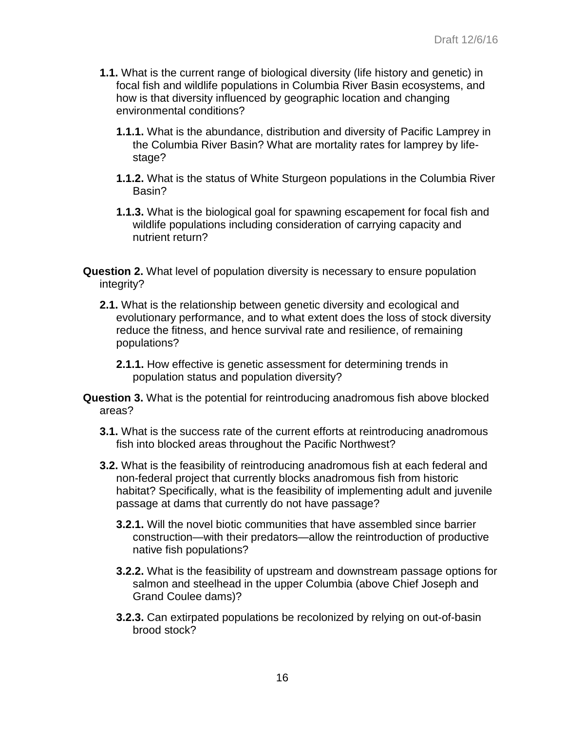- **1.1.** What is the current range of biological diversity (life history and genetic) in focal fish and wildlife populations in Columbia River Basin ecosystems, and how is that diversity influenced by geographic location and changing environmental conditions?
	- **1.1.1.** What is the abundance, distribution and diversity of Pacific Lamprey in the Columbia River Basin? What are mortality rates for lamprey by lifestage?
	- **1.1.2.** What is the status of White Sturgeon populations in the Columbia River Basin?
	- **1.1.3.** What is the biological goal for spawning escapement for focal fish and wildlife populations including consideration of carrying capacity and nutrient return?

**Question 2.** What level of population diversity is necessary to ensure population integrity?

- **2.1.** What is the relationship between genetic diversity and ecological and evolutionary performance, and to what extent does the loss of stock diversity reduce the fitness, and hence survival rate and resilience, of remaining populations?
	- **2.1.1.** How effective is genetic assessment for determining trends in population status and population diversity?
- **Question 3.** What is the potential for reintroducing anadromous fish above blocked areas?
	- **3.1.** What is the success rate of the current efforts at reintroducing anadromous fish into blocked areas throughout the Pacific Northwest?
	- **3.2.** What is the feasibility of reintroducing anadromous fish at each federal and non-federal project that currently blocks anadromous fish from historic habitat? Specifically, what is the feasibility of implementing adult and juvenile passage at dams that currently do not have passage?
		- **3.2.1.** Will the novel biotic communities that have assembled since barrier construction—with their predators—allow the reintroduction of productive native fish populations?
		- **3.2.2.** What is the feasibility of upstream and downstream passage options for salmon and steelhead in the upper Columbia (above Chief Joseph and Grand Coulee dams)?
		- **3.2.3.** Can extirpated populations be recolonized by relying on out-of-basin brood stock?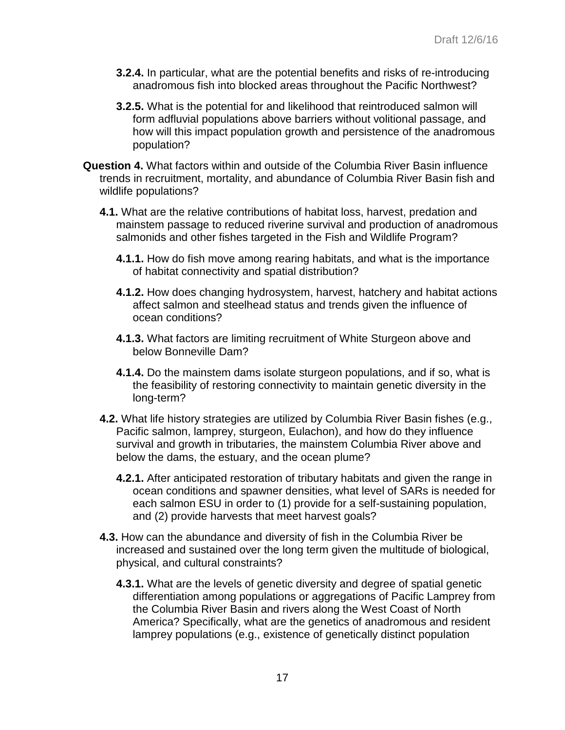- **3.2.4.** In particular, what are the potential benefits and risks of re-introducing anadromous fish into blocked areas throughout the Pacific Northwest?
- **3.2.5.** What is the potential for and likelihood that reintroduced salmon will form adfluvial populations above barriers without volitional passage, and how will this impact population growth and persistence of the anadromous population?
- **Question 4.** What factors within and outside of the Columbia River Basin influence trends in recruitment, mortality, and abundance of Columbia River Basin fish and wildlife populations?
	- **4.1.** What are the relative contributions of habitat loss, harvest, predation and mainstem passage to reduced riverine survival and production of anadromous salmonids and other fishes targeted in the Fish and Wildlife Program?
		- **4.1.1.** How do fish move among rearing habitats, and what is the importance of habitat connectivity and spatial distribution?
		- **4.1.2.** How does changing hydrosystem, harvest, hatchery and habitat actions affect salmon and steelhead status and trends given the influence of ocean conditions?
		- **4.1.3.** What factors are limiting recruitment of White Sturgeon above and below Bonneville Dam?
		- **4.1.4.** Do the mainstem dams isolate sturgeon populations, and if so, what is the feasibility of restoring connectivity to maintain genetic diversity in the long-term?
	- **4.2.** What life history strategies are utilized by Columbia River Basin fishes (e.g., Pacific salmon, lamprey, sturgeon, Eulachon), and how do they influence survival and growth in tributaries, the mainstem Columbia River above and below the dams, the estuary, and the ocean plume?
		- **4.2.1.** After anticipated restoration of tributary habitats and given the range in ocean conditions and spawner densities, what level of SARs is needed for each salmon ESU in order to (1) provide for a self-sustaining population, and (2) provide harvests that meet harvest goals?
	- **4.3.** How can the abundance and diversity of fish in the Columbia River be increased and sustained over the long term given the multitude of biological, physical, and cultural constraints?
		- **4.3.1.** What are the levels of genetic diversity and degree of spatial genetic differentiation among populations or aggregations of Pacific Lamprey from the Columbia River Basin and rivers along the West Coast of North America? Specifically, what are the genetics of anadromous and resident lamprey populations (e.g., existence of genetically distinct population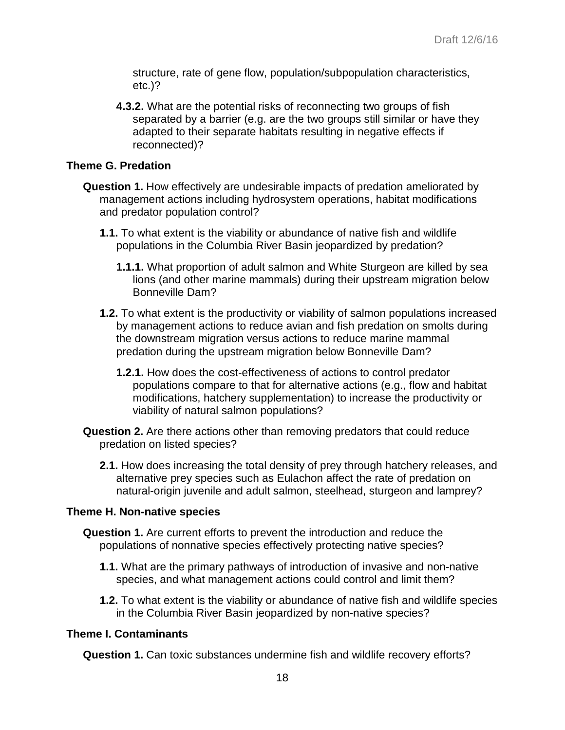structure, rate of gene flow, population/subpopulation characteristics, etc.)?

**4.3.2.** What are the potential risks of reconnecting two groups of fish separated by a barrier (e.g. are the two groups still similar or have they adapted to their separate habitats resulting in negative effects if reconnected)?

#### **Theme G. Predation**

- **Question 1.** How effectively are undesirable impacts of predation ameliorated by management actions including hydrosystem operations, habitat modifications and predator population control?
	- **1.1.** To what extent is the viability or abundance of native fish and wildlife populations in the Columbia River Basin jeopardized by predation?
		- **1.1.1.** What proportion of adult salmon and White Sturgeon are killed by sea lions (and other marine mammals) during their upstream migration below Bonneville Dam?
	- **1.2.** To what extent is the productivity or viability of salmon populations increased by management actions to reduce avian and fish predation on smolts during the downstream migration versus actions to reduce marine mammal predation during the upstream migration below Bonneville Dam?
		- **1.2.1.** How does the cost-effectiveness of actions to control predator populations compare to that for alternative actions (e.g., flow and habitat modifications, hatchery supplementation) to increase the productivity or viability of natural salmon populations?
- **Question 2.** Are there actions other than removing predators that could reduce predation on listed species?
	- **2.1.** How does increasing the total density of prey through hatchery releases, and alternative prey species such as Eulachon affect the rate of predation on natural-origin juvenile and adult salmon, steelhead, sturgeon and lamprey?

### **Theme H. Non-native species**

- **Question 1.** Are current efforts to prevent the introduction and reduce the populations of nonnative species effectively protecting native species?
	- **1.1.** What are the primary pathways of introduction of invasive and non-native species, and what management actions could control and limit them?
	- **1.2.** To what extent is the viability or abundance of native fish and wildlife species in the Columbia River Basin jeopardized by non-native species?

### **Theme I. Contaminants**

**Question 1.** Can toxic substances undermine fish and wildlife recovery efforts?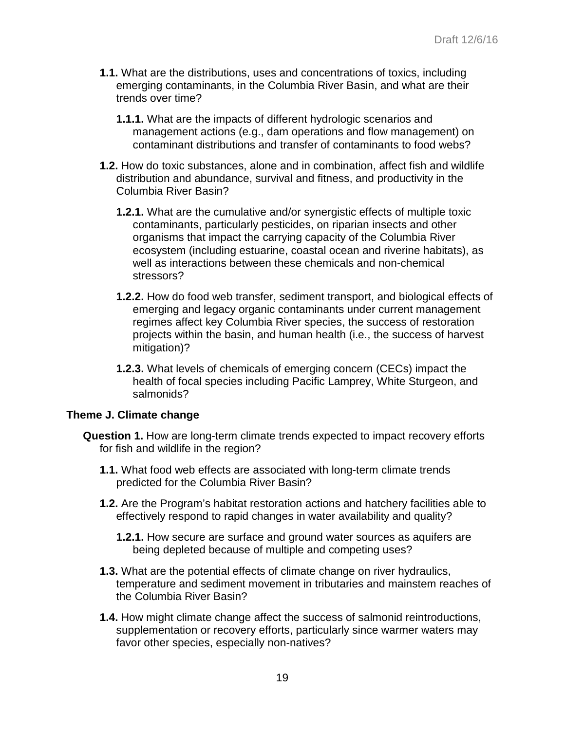- **1.1.** What are the distributions, uses and concentrations of toxics, including emerging contaminants, in the Columbia River Basin, and what are their trends over time?
	- **1.1.1.** What are the impacts of different hydrologic scenarios and management actions (e.g., dam operations and flow management) on contaminant distributions and transfer of contaminants to food webs?
- **1.2.** How do toxic substances, alone and in combination, affect fish and wildlife distribution and abundance, survival and fitness, and productivity in the Columbia River Basin?
	- **1.2.1.** What are the cumulative and/or synergistic effects of multiple toxic contaminants, particularly pesticides, on riparian insects and other organisms that impact the carrying capacity of the Columbia River ecosystem (including estuarine, coastal ocean and riverine habitats), as well as interactions between these chemicals and non-chemical stressors?
	- **1.2.2.** How do food web transfer, sediment transport, and biological effects of emerging and legacy organic contaminants under current management regimes affect key Columbia River species, the success of restoration projects within the basin, and human health (i.e., the success of harvest mitigation)?
	- **1.2.3.** What levels of chemicals of emerging concern (CECs) impact the health of focal species including Pacific Lamprey, White Sturgeon, and salmonids?

### **Theme J. Climate change**

- **Question 1.** How are long-term climate trends expected to impact recovery efforts for fish and wildlife in the region?
	- **1.1.** What food web effects are associated with long-term climate trends predicted for the Columbia River Basin?
	- **1.2.** Are the Program's habitat restoration actions and hatchery facilities able to effectively respond to rapid changes in water availability and quality?
		- **1.2.1.** How secure are surface and ground water sources as aquifers are being depleted because of multiple and competing uses?
	- **1.3.** What are the potential effects of climate change on river hydraulics, temperature and sediment movement in tributaries and mainstem reaches of the Columbia River Basin?
	- **1.4.** How might climate change affect the success of salmonid reintroductions, supplementation or recovery efforts, particularly since warmer waters may favor other species, especially non-natives?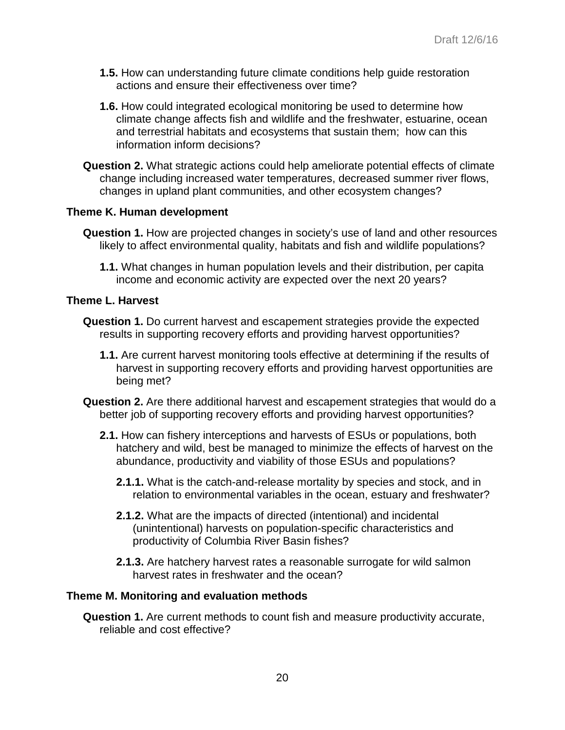- **1.5.** How can understanding future climate conditions help guide restoration actions and ensure their effectiveness over time?
- **1.6.** How could integrated ecological monitoring be used to determine how climate change affects fish and wildlife and the freshwater, estuarine, ocean and terrestrial habitats and ecosystems that sustain them; how can this information inform decisions?
- **Question 2.** What strategic actions could help ameliorate potential effects of climate change including increased water temperatures, decreased summer river flows, changes in upland plant communities, and other ecosystem changes?

### **Theme K. Human development**

- **Question 1.** How are projected changes in society's use of land and other resources likely to affect environmental quality, habitats and fish and wildlife populations?
	- **1.1.** What changes in human population levels and their distribution, per capita income and economic activity are expected over the next 20 years?

#### **Theme L. Harvest**

- **Question 1.** Do current harvest and escapement strategies provide the expected results in supporting recovery efforts and providing harvest opportunities?
	- **1.1.** Are current harvest monitoring tools effective at determining if the results of harvest in supporting recovery efforts and providing harvest opportunities are being met?
- **Question 2.** Are there additional harvest and escapement strategies that would do a better job of supporting recovery efforts and providing harvest opportunities?
	- **2.1.** How can fishery interceptions and harvests of ESUs or populations, both hatchery and wild, best be managed to minimize the effects of harvest on the abundance, productivity and viability of those ESUs and populations?
		- **2.1.1.** What is the catch-and-release mortality by species and stock, and in relation to environmental variables in the ocean, estuary and freshwater?
		- **2.1.2.** What are the impacts of directed (intentional) and incidental (unintentional) harvests on population-specific characteristics and productivity of Columbia River Basin fishes?
		- **2.1.3.** Are hatchery harvest rates a reasonable surrogate for wild salmon harvest rates in freshwater and the ocean?

### **Theme M. Monitoring and evaluation methods**

**Question 1.** Are current methods to count fish and measure productivity accurate, reliable and cost effective?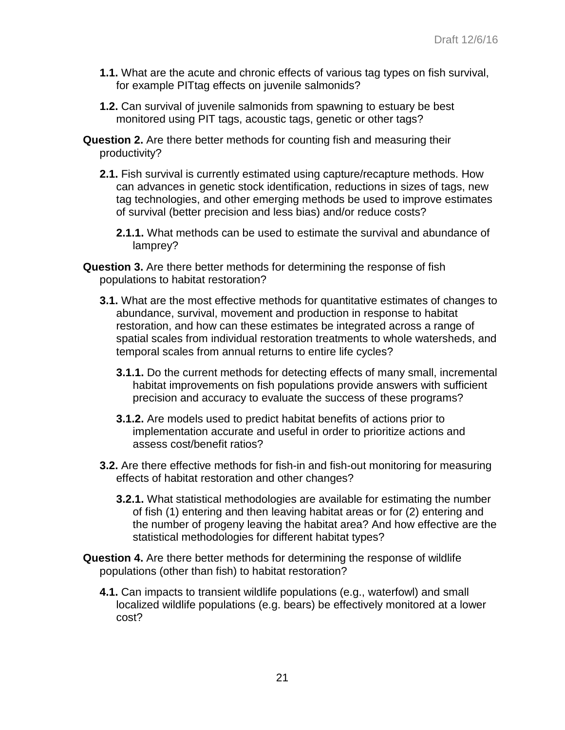- **1.1.** What are the acute and chronic effects of various tag types on fish survival, for example PITtag effects on juvenile salmonids?
- **1.2.** Can survival of juvenile salmonids from spawning to estuary be best monitored using PIT tags, acoustic tags, genetic or other tags?
- **Question 2.** Are there better methods for counting fish and measuring their productivity?
	- **2.1.** Fish survival is currently estimated using capture/recapture methods. How can advances in genetic stock identification, reductions in sizes of tags, new tag technologies, and other emerging methods be used to improve estimates of survival (better precision and less bias) and/or reduce costs?
		- **2.1.1.** What methods can be used to estimate the survival and abundance of lamprey?
- **Question 3.** Are there better methods for determining the response of fish populations to habitat restoration?
	- **3.1.** What are the most effective methods for quantitative estimates of changes to abundance, survival, movement and production in response to habitat restoration, and how can these estimates be integrated across a range of spatial scales from individual restoration treatments to whole watersheds, and temporal scales from annual returns to entire life cycles?
		- **3.1.1.** Do the current methods for detecting effects of many small, incremental habitat improvements on fish populations provide answers with sufficient precision and accuracy to evaluate the success of these programs?
		- **3.1.2.** Are models used to predict habitat benefits of actions prior to implementation accurate and useful in order to prioritize actions and assess cost/benefit ratios?
	- **3.2.** Are there effective methods for fish-in and fish-out monitoring for measuring effects of habitat restoration and other changes?
		- **3.2.1.** What statistical methodologies are available for estimating the number of fish (1) entering and then leaving habitat areas or for (2) entering and the number of progeny leaving the habitat area? And how effective are the statistical methodologies for different habitat types?
- **Question 4.** Are there better methods for determining the response of wildlife populations (other than fish) to habitat restoration?
	- **4.1.** Can impacts to transient wildlife populations (e.g., waterfowl) and small localized wildlife populations (e.g. bears) be effectively monitored at a lower cost?